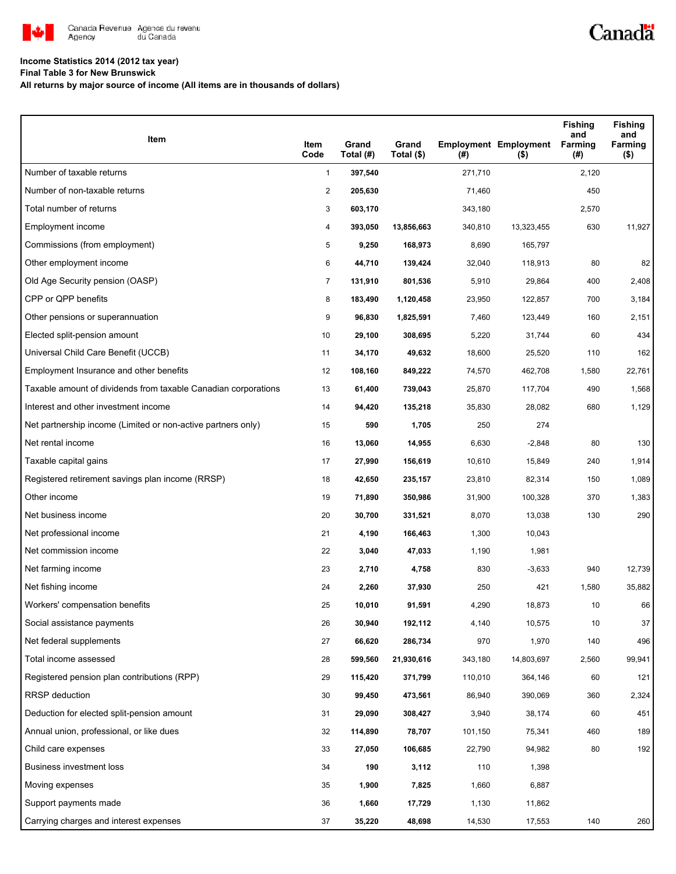

## **Income Statistics 2014 (2012 tax year)**

**Final Table 3 for New Brunswick**

**All returns by major source of income (All items are in thousands of dollars)**

| Item                                                           | Item<br>Code   | Grand<br>Total (#) | Grand<br>Total (\$) | (#)     | <b>Employment Employment</b><br>$($ \$) | <b>Fishing</b><br>and<br>Farming<br>(#) | <b>Fishing</b><br>and<br>Farming<br>$($ \$) |
|----------------------------------------------------------------|----------------|--------------------|---------------------|---------|-----------------------------------------|-----------------------------------------|---------------------------------------------|
| Number of taxable returns                                      | $\mathbf{1}$   | 397,540            |                     | 271,710 |                                         | 2,120                                   |                                             |
| Number of non-taxable returns                                  | $\overline{c}$ | 205,630            |                     | 71,460  |                                         | 450                                     |                                             |
| Total number of returns                                        | 3              | 603,170            |                     | 343,180 |                                         | 2,570                                   |                                             |
| Employment income                                              | 4              | 393,050            | 13,856,663          | 340,810 | 13,323,455                              | 630                                     | 11,927                                      |
| Commissions (from employment)                                  | 5              | 9,250              | 168,973             | 8,690   | 165,797                                 |                                         |                                             |
| Other employment income                                        | 6              | 44,710             | 139,424             | 32,040  | 118,913                                 | 80                                      | 82                                          |
| Old Age Security pension (OASP)                                | $\overline{7}$ | 131,910            | 801,536             | 5,910   | 29,864                                  | 400                                     | 2,408                                       |
| CPP or QPP benefits                                            | 8              | 183,490            | 1,120,458           | 23,950  | 122,857                                 | 700                                     | 3,184                                       |
| Other pensions or superannuation                               | 9              | 96,830             | 1,825,591           | 7,460   | 123,449                                 | 160                                     | 2,151                                       |
| Elected split-pension amount                                   | 10             | 29,100             | 308,695             | 5,220   | 31,744                                  | 60                                      | 434                                         |
| Universal Child Care Benefit (UCCB)                            | 11             | 34,170             | 49,632              | 18,600  | 25,520                                  | 110                                     | 162                                         |
| Employment Insurance and other benefits                        | 12             | 108,160            | 849,222             | 74,570  | 462,708                                 | 1,580                                   | 22,761                                      |
| Taxable amount of dividends from taxable Canadian corporations | 13             | 61,400             | 739,043             | 25,870  | 117,704                                 | 490                                     | 1,568                                       |
| Interest and other investment income                           | 14             | 94,420             | 135,218             | 35,830  | 28,082                                  | 680                                     | 1,129                                       |
| Net partnership income (Limited or non-active partners only)   | 15             | 590                | 1,705               | 250     | 274                                     |                                         |                                             |
| Net rental income                                              | 16             | 13,060             | 14,955              | 6,630   | $-2,848$                                | 80                                      | 130                                         |
| Taxable capital gains                                          | 17             | 27,990             | 156,619             | 10,610  | 15,849                                  | 240                                     | 1,914                                       |
| Registered retirement savings plan income (RRSP)               | 18             | 42,650             | 235,157             | 23,810  | 82,314                                  | 150                                     | 1,089                                       |
| Other income                                                   | 19             | 71,890             | 350,986             | 31,900  | 100,328                                 | 370                                     | 1,383                                       |
| Net business income                                            | 20             | 30,700             | 331,521             | 8,070   | 13,038                                  | 130                                     | 290                                         |
| Net professional income                                        | 21             | 4,190              | 166,463             | 1,300   | 10,043                                  |                                         |                                             |
| Net commission income                                          | 22             | 3,040              | 47,033              | 1,190   | 1,981                                   |                                         |                                             |
| Net farming income                                             | 23             | 2,710              | 4,758               | 830     | $-3,633$                                | 940                                     | 12,739                                      |
| Net fishing income                                             | 24             | 2,260              | 37,930              | 250     | 421                                     | 1,580                                   | 35,882                                      |
| Workers' compensation benefits                                 | 25             | 10,010             | 91,591              | 4,290   | 18,873                                  | 10                                      | 66                                          |
| Social assistance payments                                     | 26             | 30,940             | 192,112             | 4,140   | 10,575                                  | 10                                      | 37                                          |
| Net federal supplements                                        | 27             | 66,620             | 286,734             | 970     | 1,970                                   | 140                                     | 496                                         |
| Total income assessed                                          | 28             | 599,560            | 21,930,616          | 343,180 | 14,803,697                              | 2,560                                   | 99,941                                      |
| Registered pension plan contributions (RPP)                    | 29             | 115,420            | 371,799             | 110,010 | 364,146                                 | 60                                      | 121                                         |
| RRSP deduction                                                 | 30             | 99,450             | 473,561             | 86,940  | 390,069                                 | 360                                     | 2,324                                       |
| Deduction for elected split-pension amount                     | 31             | 29,090             | 308,427             | 3,940   | 38,174                                  | 60                                      | 451                                         |
| Annual union, professional, or like dues                       | 32             | 114,890            | 78,707              | 101,150 | 75,341                                  | 460                                     | 189                                         |
| Child care expenses                                            | 33             | 27,050             | 106,685             | 22,790  | 94,982                                  | 80                                      | 192                                         |
| Business investment loss                                       | 34             | 190                | 3,112               | 110     | 1,398                                   |                                         |                                             |
| Moving expenses                                                | 35             | 1,900              | 7,825               | 1,660   | 6,887                                   |                                         |                                             |
| Support payments made                                          | 36             | 1,660              | 17,729              | 1,130   | 11,862                                  |                                         |                                             |
| Carrying charges and interest expenses                         | 37             | 35,220             | 48,698              | 14,530  | 17,553                                  | 140                                     | 260                                         |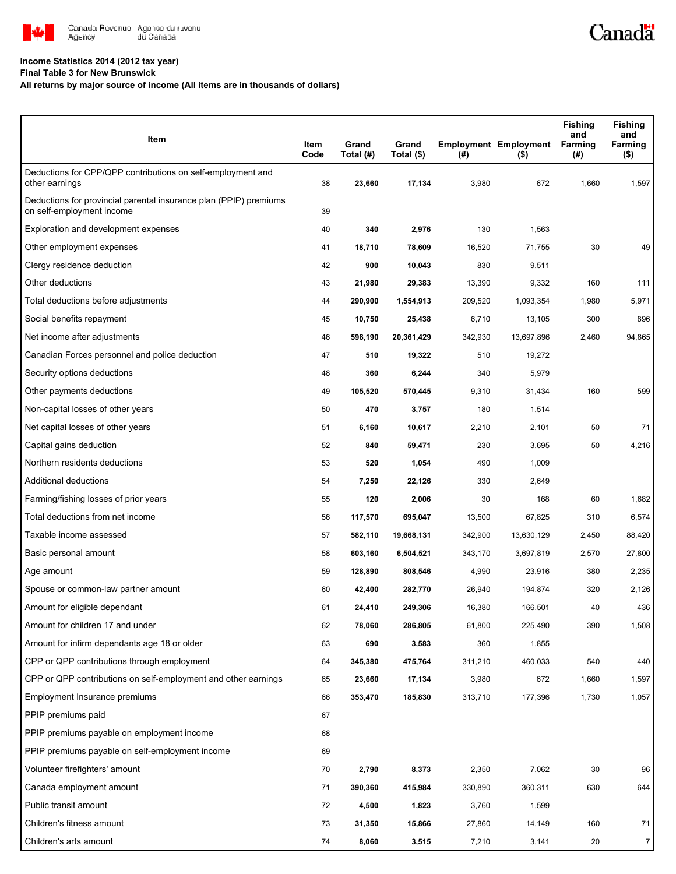

## **Income Statistics 2014 (2012 tax year)**

**Final Table 3 for New Brunswick**

## **All returns by major source of income (All items are in thousands of dollars)**

| Item                                                                                           | Item<br>Code | Grand<br>Total (#) | Grand<br>Total (\$) | $($ #)  | <b>Employment Employment</b><br>$($ \$) | <b>Fishing</b><br>and<br>Farming<br>(#) | <b>Fishing</b><br>and<br>Farming<br>$($ \$) |
|------------------------------------------------------------------------------------------------|--------------|--------------------|---------------------|---------|-----------------------------------------|-----------------------------------------|---------------------------------------------|
| Deductions for CPP/QPP contributions on self-employment and<br>other earnings                  | 38           | 23,660             | 17,134              | 3,980   | 672                                     | 1,660                                   | 1,597                                       |
| Deductions for provincial parental insurance plan (PPIP) premiums<br>on self-employment income | 39           |                    |                     |         |                                         |                                         |                                             |
| Exploration and development expenses                                                           | 40           | 340                | 2,976               | 130     | 1,563                                   |                                         |                                             |
| Other employment expenses                                                                      | 41           | 18,710             | 78,609              | 16,520  | 71,755                                  | 30                                      | 49                                          |
| Clergy residence deduction                                                                     | 42           | 900                | 10,043              | 830     | 9,511                                   |                                         |                                             |
| Other deductions                                                                               | 43           | 21,980             | 29,383              | 13,390  | 9,332                                   | 160                                     | 111                                         |
| Total deductions before adjustments                                                            | 44           | 290,900            | 1,554,913           | 209,520 | 1,093,354                               | 1,980                                   | 5,971                                       |
| Social benefits repayment                                                                      | 45           | 10,750             | 25,438              | 6,710   | 13,105                                  | 300                                     | 896                                         |
| Net income after adjustments                                                                   | 46           | 598,190            | 20,361,429          | 342,930 | 13,697,896                              | 2,460                                   | 94,865                                      |
| Canadian Forces personnel and police deduction                                                 | 47           | 510                | 19,322              | 510     | 19,272                                  |                                         |                                             |
| Security options deductions                                                                    | 48           | 360                | 6,244               | 340     | 5,979                                   |                                         |                                             |
| Other payments deductions                                                                      | 49           | 105,520            | 570,445             | 9,310   | 31,434                                  | 160                                     | 599                                         |
| Non-capital losses of other years                                                              | 50           | 470                | 3,757               | 180     | 1,514                                   |                                         |                                             |
| Net capital losses of other years                                                              | 51           | 6,160              | 10,617              | 2,210   | 2,101                                   | 50                                      | 71                                          |
| Capital gains deduction                                                                        | 52           | 840                | 59,471              | 230     | 3,695                                   | 50                                      | 4,216                                       |
| Northern residents deductions                                                                  | 53           | 520                | 1,054               | 490     | 1,009                                   |                                         |                                             |
| Additional deductions                                                                          | 54           | 7,250              | 22,126              | 330     | 2,649                                   |                                         |                                             |
| Farming/fishing losses of prior years                                                          | 55           | 120                | 2,006               | 30      | 168                                     | 60                                      | 1,682                                       |
| Total deductions from net income                                                               | 56           | 117,570            | 695,047             | 13,500  | 67,825                                  | 310                                     | 6,574                                       |
| Taxable income assessed                                                                        | 57           | 582,110            | 19,668,131          | 342,900 | 13,630,129                              | 2,450                                   | 88,420                                      |
| Basic personal amount                                                                          | 58           | 603,160            | 6,504,521           | 343,170 | 3,697,819                               | 2,570                                   | 27,800                                      |
| Age amount                                                                                     | 59           | 128,890            | 808,546             | 4,990   | 23,916                                  | 380                                     | 2,235                                       |
| Spouse or common-law partner amount                                                            | 60           | 42,400             | 282,770             | 26,940  | 194,874                                 | 320                                     | 2,126                                       |
| Amount for eligible dependant                                                                  | 61           | 24.410             | 249,306             | 16,380  | 166,501                                 | 40                                      | 436                                         |
| Amount for children 17 and under                                                               | 62           | 78,060             | 286,805             | 61,800  | 225,490                                 | 390                                     | 1,508                                       |
| Amount for infirm dependants age 18 or older                                                   | 63           | 690                | 3,583               | 360     | 1,855                                   |                                         |                                             |
| CPP or QPP contributions through employment                                                    | 64           | 345,380            | 475,764             | 311,210 | 460,033                                 | 540                                     | 440                                         |
| CPP or QPP contributions on self-employment and other earnings                                 | 65           | 23,660             | 17,134              | 3,980   | 672                                     | 1,660                                   | 1,597                                       |
| Employment Insurance premiums                                                                  | 66           | 353,470            | 185,830             | 313,710 | 177,396                                 | 1,730                                   | 1,057                                       |
| PPIP premiums paid                                                                             | 67           |                    |                     |         |                                         |                                         |                                             |
| PPIP premiums payable on employment income                                                     | 68           |                    |                     |         |                                         |                                         |                                             |
| PPIP premiums payable on self-employment income                                                | 69           |                    |                     |         |                                         |                                         |                                             |
| Volunteer firefighters' amount                                                                 | 70           | 2,790              | 8,373               | 2,350   | 7,062                                   | 30                                      | 96                                          |
| Canada employment amount                                                                       | 71           | 390,360            | 415,984             | 330,890 | 360,311                                 | 630                                     | 644                                         |
| Public transit amount                                                                          | 72           | 4,500              | 1,823               | 3,760   | 1,599                                   |                                         |                                             |
| Children's fitness amount                                                                      | 73           | 31,350             | 15,866              | 27,860  | 14,149                                  | 160                                     | 71                                          |
| Children's arts amount                                                                         | 74           | 8,060              | 3,515               | 7,210   | 3,141                                   | 20                                      | $\overline{7}$                              |

Canadä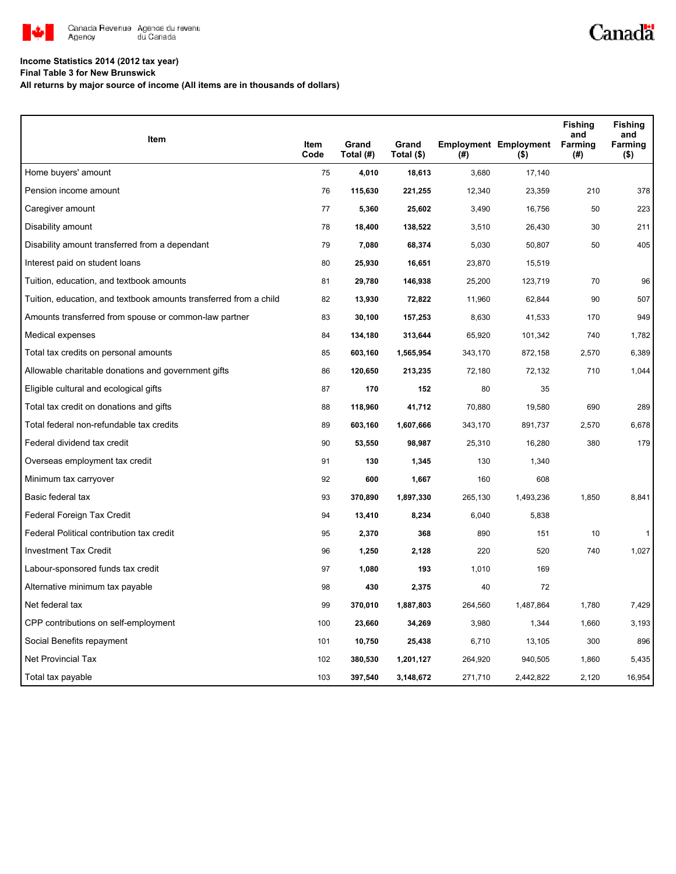

## **Income Statistics 2014 (2012 tax year)**

**Final Table 3 for New Brunswick**

**All returns by major source of income (All items are in thousands of dollars)**

| <b>Item</b>                                                       |              |                    |                     |         |                                         | <b>Fishing</b><br>and | <b>Fishing</b><br>and |
|-------------------------------------------------------------------|--------------|--------------------|---------------------|---------|-----------------------------------------|-----------------------|-----------------------|
|                                                                   | Item<br>Code | Grand<br>Total (#) | Grand<br>Total (\$) | (#)     | <b>Employment Employment</b><br>$($ \$) | Farming<br>(#)        | Farming<br>$($ \$)    |
| Home buyers' amount                                               | 75           | 4,010              | 18,613              | 3,680   | 17,140                                  |                       |                       |
| Pension income amount                                             | 76           | 115,630            | 221,255             | 12,340  | 23,359                                  | 210                   | 378                   |
| Caregiver amount                                                  | 77           | 5,360              | 25,602              | 3,490   | 16,756                                  | 50                    | 223                   |
| Disability amount                                                 | 78           | 18,400             | 138,522             | 3,510   | 26,430                                  | 30                    | 211                   |
| Disability amount transferred from a dependant                    | 79           | 7,080              | 68,374              | 5,030   | 50,807                                  | 50                    | 405                   |
| Interest paid on student loans                                    | 80           | 25,930             | 16,651              | 23,870  | 15,519                                  |                       |                       |
| Tuition, education, and textbook amounts                          | 81           | 29,780             | 146,938             | 25,200  | 123,719                                 | 70                    | 96                    |
| Tuition, education, and textbook amounts transferred from a child | 82           | 13,930             | 72,822              | 11,960  | 62,844                                  | 90                    | 507                   |
| Amounts transferred from spouse or common-law partner             | 83           | 30,100             | 157,253             | 8,630   | 41,533                                  | 170                   | 949                   |
| Medical expenses                                                  | 84           | 134,180            | 313,644             | 65,920  | 101,342                                 | 740                   | 1,782                 |
| Total tax credits on personal amounts                             | 85           | 603,160            | 1,565,954           | 343,170 | 872,158                                 | 2,570                 | 6,389                 |
| Allowable charitable donations and government gifts               | 86           | 120,650            | 213,235             | 72,180  | 72,132                                  | 710                   | 1,044                 |
| Eligible cultural and ecological gifts                            | 87           | 170                | 152                 | 80      | 35                                      |                       |                       |
| Total tax credit on donations and gifts                           | 88           | 118,960            | 41,712              | 70,880  | 19,580                                  | 690                   | 289                   |
| Total federal non-refundable tax credits                          | 89           | 603,160            | 1,607,666           | 343,170 | 891,737                                 | 2,570                 | 6,678                 |
| Federal dividend tax credit                                       | 90           | 53,550             | 98,987              | 25,310  | 16,280                                  | 380                   | 179                   |
| Overseas employment tax credit                                    | 91           | 130                | 1,345               | 130     | 1,340                                   |                       |                       |
| Minimum tax carryover                                             | 92           | 600                | 1,667               | 160     | 608                                     |                       |                       |
| Basic federal tax                                                 | 93           | 370,890            | 1,897,330           | 265,130 | 1,493,236                               | 1,850                 | 8,841                 |
| Federal Foreign Tax Credit                                        | 94           | 13,410             | 8,234               | 6,040   | 5,838                                   |                       |                       |
| Federal Political contribution tax credit                         | 95           | 2,370              | 368                 | 890     | 151                                     | 10                    | $\mathbf{1}$          |
| <b>Investment Tax Credit</b>                                      | 96           | 1,250              | 2,128               | 220     | 520                                     | 740                   | 1,027                 |
| Labour-sponsored funds tax credit                                 | 97           | 1,080              | 193                 | 1,010   | 169                                     |                       |                       |
| Alternative minimum tax payable                                   | 98           | 430                | 2,375               | 40      | 72                                      |                       |                       |
| Net federal tax                                                   | 99           | 370,010            | 1,887,803           | 264,560 | 1,487,864                               | 1,780                 | 7,429                 |
| CPP contributions on self-employment                              | 100          | 23,660             | 34,269              | 3,980   | 1,344                                   | 1,660                 | 3,193                 |
| Social Benefits repayment                                         | 101          | 10,750             | 25,438              | 6,710   | 13,105                                  | 300                   | 896                   |
| <b>Net Provincial Tax</b>                                         | 102          | 380,530            | 1,201,127           | 264,920 | 940,505                                 | 1,860                 | 5,435                 |
| Total tax payable                                                 | 103          | 397,540            | 3,148,672           | 271,710 | 2,442,822                               | 2,120                 | 16,954                |

Canadä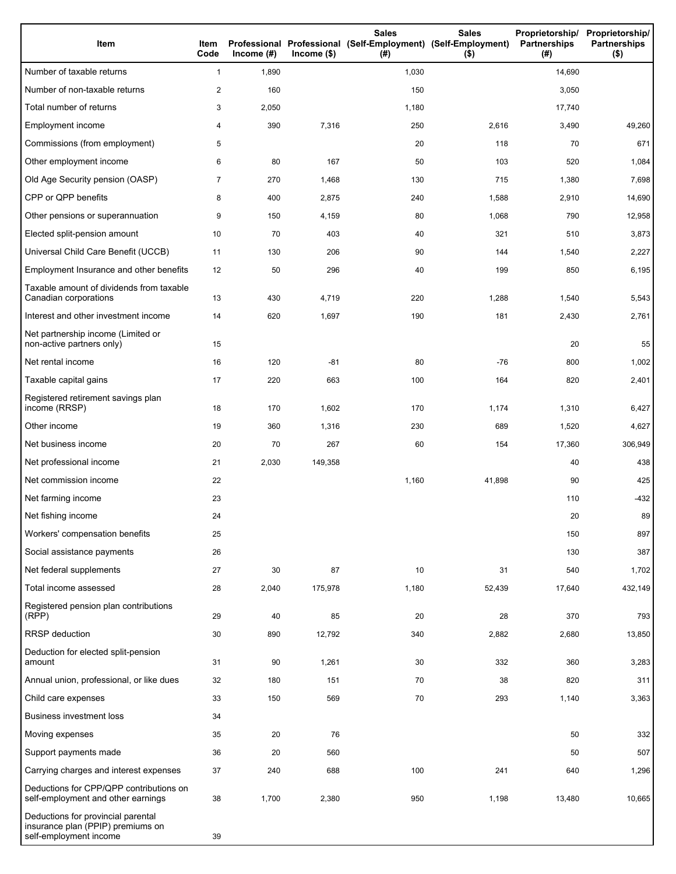| Item                                                                                              | Item<br>Code   | Income $(\#)$ | $Income$ (\$) | <b>Sales</b><br>Professional Professional (Self-Employment) (Self-Employment)<br>(#) | <b>Sales</b><br>$($ \$) | Proprietorship/ Proprietorship/<br><b>Partnerships</b><br>(#) | <b>Partnerships</b><br>$($ \$) |
|---------------------------------------------------------------------------------------------------|----------------|---------------|---------------|--------------------------------------------------------------------------------------|-------------------------|---------------------------------------------------------------|--------------------------------|
| Number of taxable returns                                                                         | $\mathbf{1}$   | 1,890         |               | 1,030                                                                                |                         | 14,690                                                        |                                |
| Number of non-taxable returns                                                                     | 2              | 160           |               | 150                                                                                  |                         | 3,050                                                         |                                |
| Total number of returns                                                                           | 3              | 2,050         |               | 1,180                                                                                |                         | 17,740                                                        |                                |
| Employment income                                                                                 | 4              | 390           | 7,316         | 250                                                                                  | 2,616                   | 3,490                                                         | 49,260                         |
| Commissions (from employment)                                                                     | 5              |               |               | 20                                                                                   | 118                     | 70                                                            | 671                            |
| Other employment income                                                                           | 6              | 80            | 167           | 50                                                                                   | 103                     | 520                                                           | 1,084                          |
| Old Age Security pension (OASP)                                                                   | $\overline{7}$ | 270           | 1,468         | 130                                                                                  | 715                     | 1,380                                                         | 7,698                          |
| CPP or QPP benefits                                                                               | 8              | 400           | 2,875         | 240                                                                                  | 1,588                   | 2,910                                                         | 14,690                         |
| Other pensions or superannuation                                                                  | 9              | 150           | 4,159         | 80                                                                                   | 1,068                   | 790                                                           | 12,958                         |
| Elected split-pension amount                                                                      | 10             | 70            | 403           | 40                                                                                   | 321                     | 510                                                           | 3,873                          |
| Universal Child Care Benefit (UCCB)                                                               | 11             | 130           | 206           | 90                                                                                   | 144                     | 1,540                                                         | 2,227                          |
| Employment Insurance and other benefits                                                           | 12             | 50            | 296           | 40                                                                                   | 199                     | 850                                                           | 6,195                          |
| Taxable amount of dividends from taxable<br>Canadian corporations                                 | 13             | 430           | 4,719         | 220                                                                                  | 1,288                   | 1,540                                                         | 5,543                          |
| Interest and other investment income                                                              | 14             | 620           | 1,697         | 190                                                                                  | 181                     | 2,430                                                         | 2,761                          |
| Net partnership income (Limited or<br>non-active partners only)                                   | 15             |               |               |                                                                                      |                         | 20                                                            | 55                             |
| Net rental income                                                                                 | 16             | 120           | $-81$         | 80                                                                                   | $-76$                   | 800                                                           | 1,002                          |
| Taxable capital gains                                                                             | 17             | 220           | 663           | 100                                                                                  | 164                     | 820                                                           | 2,401                          |
| Registered retirement savings plan<br>income (RRSP)                                               | 18             | 170           | 1,602         | 170                                                                                  | 1,174                   | 1,310                                                         | 6,427                          |
| Other income                                                                                      | 19             | 360           | 1,316         | 230                                                                                  | 689                     | 1,520                                                         | 4,627                          |
| Net business income                                                                               | 20             | 70            | 267           | 60                                                                                   | 154                     | 17,360                                                        | 306,949                        |
| Net professional income                                                                           | 21             | 2,030         | 149,358       |                                                                                      |                         | 40                                                            | 438                            |
| Net commission income                                                                             | 22             |               |               | 1,160                                                                                | 41,898                  | 90                                                            | 425                            |
| Net farming income                                                                                | 23             |               |               |                                                                                      |                         | 110                                                           | $-432$                         |
| Net fishing income                                                                                | 24             |               |               |                                                                                      |                         | 20                                                            | 89                             |
| Workers' compensation benefits                                                                    | 25             |               |               |                                                                                      |                         | 150                                                           | 897                            |
| Social assistance payments                                                                        | 26             |               |               |                                                                                      |                         | 130                                                           | 387                            |
| Net federal supplements                                                                           | 27             | 30            | 87            | 10                                                                                   | 31                      | 540                                                           | 1,702                          |
| Total income assessed                                                                             | 28             | 2,040         | 175,978       | 1,180                                                                                | 52,439                  | 17,640                                                        | 432,149                        |
| Registered pension plan contributions<br>(RPP)                                                    | 29             | 40            | 85            | 20                                                                                   | 28                      | 370                                                           | 793                            |
| RRSP deduction                                                                                    | 30             | 890           | 12,792        | 340                                                                                  | 2,882                   | 2,680                                                         | 13,850                         |
| Deduction for elected split-pension<br>amount                                                     | 31             | 90            | 1,261         | 30                                                                                   | 332                     | 360                                                           | 3,283                          |
| Annual union, professional, or like dues                                                          | 32             | 180           | 151           | 70                                                                                   | 38                      | 820                                                           | 311                            |
| Child care expenses                                                                               | 33             | 150           | 569           | 70                                                                                   | 293                     | 1,140                                                         | 3,363                          |
| <b>Business investment loss</b>                                                                   | 34             |               |               |                                                                                      |                         |                                                               |                                |
| Moving expenses                                                                                   | 35             | 20            | 76            |                                                                                      |                         | 50                                                            | 332                            |
| Support payments made                                                                             | 36             | 20            | 560           |                                                                                      |                         | 50                                                            | 507                            |
| Carrying charges and interest expenses                                                            | 37             | 240           | 688           | 100                                                                                  | 241                     | 640                                                           | 1,296                          |
| Deductions for CPP/QPP contributions on<br>self-employment and other earnings                     | 38             | 1,700         | 2,380         | 950                                                                                  | 1,198                   | 13,480                                                        | 10,665                         |
| Deductions for provincial parental<br>insurance plan (PPIP) premiums on<br>self-employment income | 39             |               |               |                                                                                      |                         |                                                               |                                |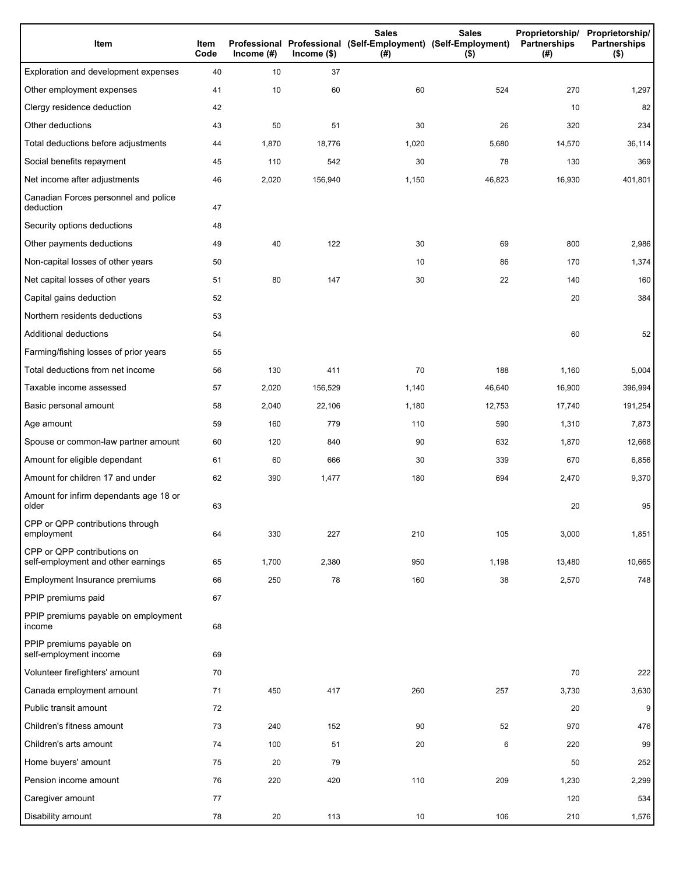| Item                                                              | Item<br>Code | Income $(\#)$ | $lncome$ (\$) | <b>Sales</b><br>Professional Professional (Self-Employment) (Self-Employment)<br>(#) | <b>Sales</b><br>$($ \$) | Proprietorship/<br>Partnerships<br>(#) | Proprietorship/<br>Partnerships<br>$($ \$) |
|-------------------------------------------------------------------|--------------|---------------|---------------|--------------------------------------------------------------------------------------|-------------------------|----------------------------------------|--------------------------------------------|
| Exploration and development expenses                              | 40           | 10            | 37            |                                                                                      |                         |                                        |                                            |
| Other employment expenses                                         | 41           | 10            | 60            | 60                                                                                   | 524                     | 270                                    | 1,297                                      |
| Clergy residence deduction                                        | 42           |               |               |                                                                                      |                         | 10                                     | 82                                         |
| Other deductions                                                  | 43           | 50            | 51            | 30                                                                                   | 26                      | 320                                    | 234                                        |
| Total deductions before adjustments                               | 44           | 1,870         | 18,776        | 1,020                                                                                | 5,680                   | 14,570                                 | 36,114                                     |
| Social benefits repayment                                         | 45           | 110           | 542           | 30                                                                                   | 78                      | 130                                    | 369                                        |
| Net income after adjustments                                      | 46           | 2,020         | 156,940       | 1,150                                                                                | 46,823                  | 16,930                                 | 401,801                                    |
| Canadian Forces personnel and police<br>deduction                 | 47           |               |               |                                                                                      |                         |                                        |                                            |
| Security options deductions                                       | 48           |               |               |                                                                                      |                         |                                        |                                            |
| Other payments deductions                                         | 49           | 40            | 122           | 30                                                                                   | 69                      | 800                                    | 2,986                                      |
| Non-capital losses of other years                                 | 50           |               |               | 10                                                                                   | 86                      | 170                                    | 1,374                                      |
| Net capital losses of other years                                 | 51           | 80            | 147           | 30                                                                                   | 22                      | 140                                    | 160                                        |
| Capital gains deduction                                           | 52           |               |               |                                                                                      |                         | 20                                     | 384                                        |
| Northern residents deductions                                     | 53           |               |               |                                                                                      |                         |                                        |                                            |
| Additional deductions                                             | 54           |               |               |                                                                                      |                         | 60                                     | 52                                         |
| Farming/fishing losses of prior years                             | 55           |               |               |                                                                                      |                         |                                        |                                            |
| Total deductions from net income                                  | 56           | 130           | 411           | 70                                                                                   | 188                     | 1,160                                  | 5,004                                      |
| Taxable income assessed                                           | 57           | 2,020         | 156,529       | 1,140                                                                                | 46,640                  | 16,900                                 | 396,994                                    |
| Basic personal amount                                             | 58           | 2,040         | 22,106        | 1,180                                                                                | 12,753                  | 17,740                                 | 191,254                                    |
| Age amount                                                        | 59           | 160           | 779           | 110                                                                                  | 590                     | 1,310                                  | 7,873                                      |
| Spouse or common-law partner amount                               | 60           | 120           | 840           | 90                                                                                   | 632                     | 1,870                                  | 12,668                                     |
| Amount for eligible dependant                                     | 61           | 60            | 666           | 30                                                                                   | 339                     | 670                                    | 6,856                                      |
| Amount for children 17 and under                                  | 62           | 390           | 1,477         | 180                                                                                  | 694                     | 2,470                                  | 9,370                                      |
| Amount for infirm dependants age 18 or<br>older                   | 63           |               |               |                                                                                      |                         | 20                                     | 95                                         |
| CPP or QPP contributions through<br>employment                    | 64           | 330           | 227           | 210                                                                                  | 105                     | 3,000                                  | 1,851                                      |
| CPP or QPP contributions on<br>self-employment and other earnings | 65           | 1,700         | 2,380         | 950                                                                                  | 1,198                   | 13,480                                 | 10,665                                     |
| Employment Insurance premiums                                     | 66           | 250           | 78            | 160                                                                                  | 38                      | 2,570                                  | 748                                        |
| PPIP premiums paid                                                | 67           |               |               |                                                                                      |                         |                                        |                                            |
| PPIP premiums payable on employment<br>income                     | 68           |               |               |                                                                                      |                         |                                        |                                            |
| PPIP premiums payable on<br>self-employment income                | 69           |               |               |                                                                                      |                         |                                        |                                            |
| Volunteer firefighters' amount                                    | 70           |               |               |                                                                                      |                         | 70                                     | 222                                        |
| Canada employment amount                                          | 71           | 450           | 417           | 260                                                                                  | 257                     | 3,730                                  | 3,630                                      |
| Public transit amount                                             | 72           |               |               |                                                                                      |                         | 20                                     | 9                                          |
| Children's fitness amount                                         | 73           | 240           | 152           | 90                                                                                   | 52                      | 970                                    | 476                                        |
| Children's arts amount                                            | 74           | 100           | 51            | 20                                                                                   | 6                       | 220                                    | 99                                         |
| Home buyers' amount                                               | 75           | 20            | 79            |                                                                                      |                         | 50                                     | 252                                        |
| Pension income amount                                             | 76           | 220           | 420           | 110                                                                                  | 209                     | 1,230                                  | 2,299                                      |
| Caregiver amount                                                  | 77           |               |               |                                                                                      |                         | 120                                    | 534                                        |
| Disability amount                                                 | 78           | 20            | 113           | 10                                                                                   | 106                     | 210                                    | 1,576                                      |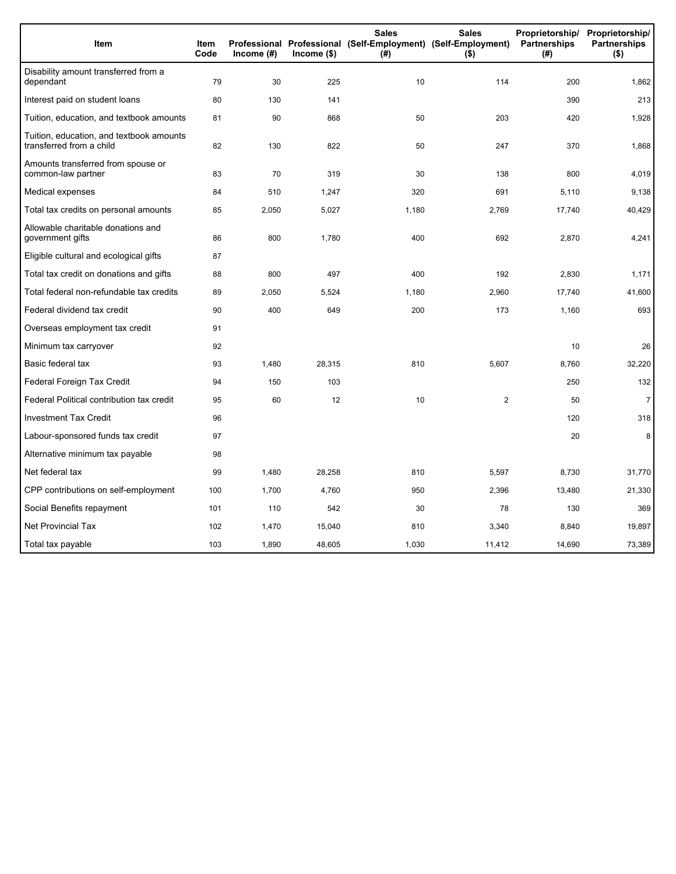| Item                                                                 | <b>Item</b><br>Code | Income (#) | $lncome$ (\$) | <b>Sales</b><br>Professional Professional (Self-Employment) (Self-Employment)<br>(#) | <b>Sales</b><br>$($ \$) | Proprietorship/<br>Partnerships<br>(#) | Proprietorship/<br><b>Partnerships</b><br>$($ \$) |
|----------------------------------------------------------------------|---------------------|------------|---------------|--------------------------------------------------------------------------------------|-------------------------|----------------------------------------|---------------------------------------------------|
| Disability amount transferred from a<br>dependant                    | 79                  | 30         | 225           | 10                                                                                   | 114                     | 200                                    | 1,862                                             |
| Interest paid on student loans                                       | 80                  | 130        | 141           |                                                                                      |                         | 390                                    | 213                                               |
| Tuition, education, and textbook amounts                             | 81                  | 90         | 868           | 50                                                                                   | 203                     | 420                                    | 1,928                                             |
| Tuition, education, and textbook amounts<br>transferred from a child | 82                  | 130        | 822           | 50                                                                                   | 247                     | 370                                    | 1,868                                             |
| Amounts transferred from spouse or<br>common-law partner             | 83                  | 70         | 319           | 30                                                                                   | 138                     | 800                                    | 4,019                                             |
| Medical expenses                                                     | 84                  | 510        | 1,247         | 320                                                                                  | 691                     | 5,110                                  | 9,138                                             |
| Total tax credits on personal amounts                                | 85                  | 2,050      | 5,027         | 1,180                                                                                | 2,769                   | 17,740                                 | 40,429                                            |
| Allowable charitable donations and<br>government gifts               | 86                  | 800        | 1,780         | 400                                                                                  | 692                     | 2,870                                  | 4,241                                             |
| Eligible cultural and ecological gifts                               | 87                  |            |               |                                                                                      |                         |                                        |                                                   |
| Total tax credit on donations and gifts                              | 88                  | 800        | 497           | 400                                                                                  | 192                     | 2,830                                  | 1,171                                             |
| Total federal non-refundable tax credits                             | 89                  | 2,050      | 5,524         | 1,180                                                                                | 2,960                   | 17,740                                 | 41,600                                            |
| Federal dividend tax credit                                          | 90                  | 400        | 649           | 200                                                                                  | 173                     | 1,160                                  | 693                                               |
| Overseas employment tax credit                                       | 91                  |            |               |                                                                                      |                         |                                        |                                                   |
| Minimum tax carryover                                                | 92                  |            |               |                                                                                      |                         | 10                                     | 26                                                |
| Basic federal tax                                                    | 93                  | 1,480      | 28,315        | 810                                                                                  | 5,607                   | 8,760                                  | 32,220                                            |
| Federal Foreign Tax Credit                                           | 94                  | 150        | 103           |                                                                                      |                         | 250                                    | 132                                               |
| Federal Political contribution tax credit                            | 95                  | 60         | 12            | 10                                                                                   | $\overline{2}$          | 50                                     | $\overline{7}$                                    |
| <b>Investment Tax Credit</b>                                         | 96                  |            |               |                                                                                      |                         | 120                                    | 318                                               |
| Labour-sponsored funds tax credit                                    | 97                  |            |               |                                                                                      |                         | 20                                     | 8                                                 |
| Alternative minimum tax payable                                      | 98                  |            |               |                                                                                      |                         |                                        |                                                   |
| Net federal tax                                                      | 99                  | 1,480      | 28,258        | 810                                                                                  | 5,597                   | 8,730                                  | 31,770                                            |
| CPP contributions on self-employment                                 | 100                 | 1,700      | 4,760         | 950                                                                                  | 2,396                   | 13,480                                 | 21,330                                            |
| Social Benefits repayment                                            | 101                 | 110        | 542           | 30                                                                                   | 78                      | 130                                    | 369                                               |
| Net Provincial Tax                                                   | 102                 | 1,470      | 15,040        | 810                                                                                  | 3,340                   | 8,840                                  | 19,897                                            |
| Total tax payable                                                    | 103                 | 1,890      | 48,605        | 1,030                                                                                | 11,412                  | 14,690                                 | 73,389                                            |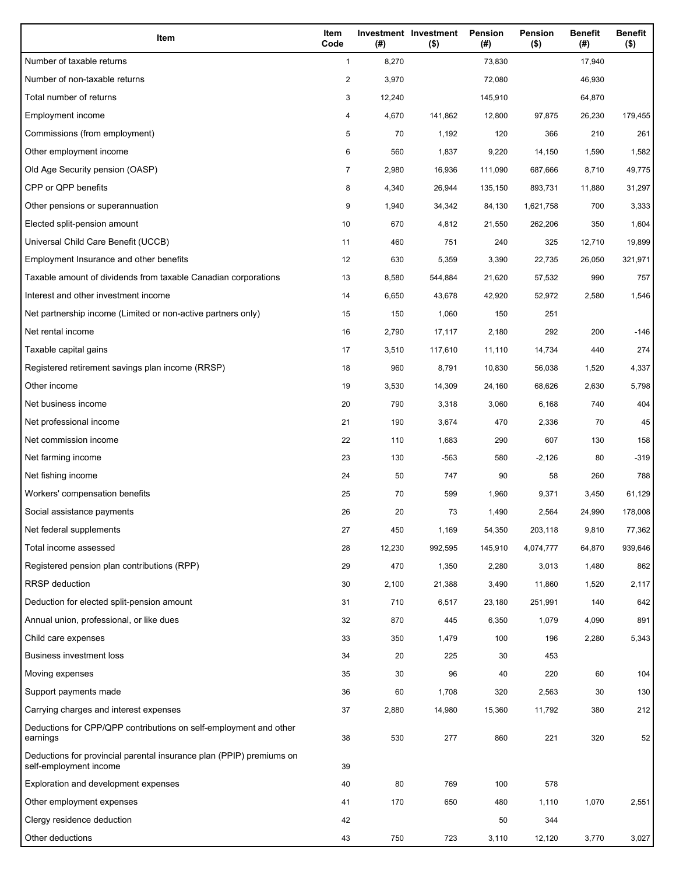| Item                                                                                           | Item<br>Code   | (#)    | Investment Investment<br>$($ \$) | Pension<br>(#) | <b>Pension</b><br>$($ \$) | <b>Benefit</b><br>(#) | <b>Benefit</b><br>$($ \$) |
|------------------------------------------------------------------------------------------------|----------------|--------|----------------------------------|----------------|---------------------------|-----------------------|---------------------------|
| Number of taxable returns                                                                      | $\mathbf{1}$   | 8,270  |                                  | 73,830         |                           | 17,940                |                           |
| Number of non-taxable returns                                                                  | $\overline{c}$ | 3,970  |                                  | 72,080         |                           | 46,930                |                           |
| Total number of returns                                                                        | 3              | 12,240 |                                  | 145,910        |                           | 64,870                |                           |
| Employment income                                                                              | 4              | 4,670  | 141,862                          | 12,800         | 97,875                    | 26,230                | 179,455                   |
| Commissions (from employment)                                                                  | 5              | 70     | 1,192                            | 120            | 366                       | 210                   | 261                       |
| Other employment income                                                                        | 6              | 560    | 1,837                            | 9,220          | 14,150                    | 1,590                 | 1,582                     |
| Old Age Security pension (OASP)                                                                | 7              | 2,980  | 16,936                           | 111,090        | 687,666                   | 8,710                 | 49,775                    |
| CPP or QPP benefits                                                                            | 8              | 4,340  | 26,944                           | 135,150        | 893,731                   | 11,880                | 31,297                    |
| Other pensions or superannuation                                                               | 9              | 1,940  | 34,342                           | 84,130         | 1,621,758                 | 700                   | 3,333                     |
| Elected split-pension amount                                                                   | 10             | 670    | 4,812                            | 21,550         | 262,206                   | 350                   | 1,604                     |
| Universal Child Care Benefit (UCCB)                                                            | 11             | 460    | 751                              | 240            | 325                       | 12,710                | 19,899                    |
| Employment Insurance and other benefits                                                        | 12             | 630    | 5,359                            | 3,390          | 22,735                    | 26,050                | 321,971                   |
| Taxable amount of dividends from taxable Canadian corporations                                 | 13             | 8,580  | 544,884                          | 21,620         | 57,532                    | 990                   | 757                       |
| Interest and other investment income                                                           | 14             | 6,650  | 43,678                           | 42,920         | 52,972                    | 2,580                 | 1,546                     |
| Net partnership income (Limited or non-active partners only)                                   | 15             | 150    | 1,060                            | 150            | 251                       |                       |                           |
| Net rental income                                                                              | 16             | 2,790  | 17,117                           | 2,180          | 292                       | 200                   | $-146$                    |
| Taxable capital gains                                                                          | 17             | 3,510  | 117,610                          | 11,110         | 14,734                    | 440                   | 274                       |
| Registered retirement savings plan income (RRSP)                                               | 18             | 960    | 8,791                            | 10,830         | 56,038                    | 1,520                 | 4,337                     |
| Other income                                                                                   | 19             | 3,530  | 14,309                           | 24,160         | 68,626                    | 2,630                 | 5,798                     |
| Net business income                                                                            | 20             | 790    | 3,318                            | 3,060          | 6,168                     | 740                   | 404                       |
| Net professional income                                                                        | 21             | 190    | 3,674                            | 470            | 2,336                     | 70                    | 45                        |
| Net commission income                                                                          | 22             | 110    | 1,683                            | 290            | 607                       | 130                   | 158                       |
| Net farming income                                                                             | 23             | 130    | -563                             | 580            | $-2,126$                  | 80                    | $-319$                    |
| Net fishing income                                                                             | 24             | 50     | 747                              | 90             | 58                        | 260                   | 788                       |
| Workers' compensation benefits                                                                 | 25             | 70     | 599                              | 1,960          | 9,371                     | 3,450                 | 61,129                    |
| Social assistance payments                                                                     | 26             | 20     | 73                               | 1,490          | 2,564                     | 24,990                | 178,008                   |
| Net federal supplements                                                                        | 27             | 450    | 1,169                            | 54,350         | 203,118                   | 9,810                 | 77,362                    |
| Total income assessed                                                                          | 28             | 12,230 | 992,595                          | 145,910        | 4,074,777                 | 64,870                | 939,646                   |
| Registered pension plan contributions (RPP)                                                    | 29             | 470    | 1,350                            | 2,280          | 3,013                     | 1,480                 | 862                       |
| <b>RRSP</b> deduction                                                                          | 30             | 2,100  | 21,388                           | 3,490          | 11,860                    | 1,520                 | 2,117                     |
| Deduction for elected split-pension amount                                                     | 31             | 710    | 6,517                            | 23,180         | 251,991                   | 140                   | 642                       |
| Annual union, professional, or like dues                                                       | 32             | 870    | 445                              | 6,350          | 1,079                     | 4,090                 | 891                       |
| Child care expenses                                                                            | 33             | 350    | 1,479                            | 100            | 196                       | 2,280                 | 5,343                     |
| <b>Business investment loss</b>                                                                | 34             | 20     | 225                              | 30             | 453                       |                       |                           |
| Moving expenses                                                                                | 35             | 30     | 96                               | 40             | 220                       | 60                    | 104                       |
| Support payments made                                                                          | 36             | 60     | 1,708                            | 320            | 2,563                     | 30                    | 130                       |
| Carrying charges and interest expenses                                                         | 37             | 2,880  | 14,980                           | 15,360         | 11,792                    | 380                   | 212                       |
| Deductions for CPP/QPP contributions on self-employment and other<br>earnings                  | 38             | 530    | 277                              | 860            | 221                       | 320                   | 52                        |
| Deductions for provincial parental insurance plan (PPIP) premiums on<br>self-employment income | 39             |        |                                  |                |                           |                       |                           |
| Exploration and development expenses                                                           | 40             | 80     | 769                              | 100            | 578                       |                       |                           |
| Other employment expenses                                                                      | 41             | 170    | 650                              | 480            | 1,110                     | 1,070                 | 2,551                     |
| Clergy residence deduction                                                                     | 42             |        |                                  | 50             | 344                       |                       |                           |
| Other deductions                                                                               | 43             | 750    | 723                              | 3,110          | 12,120                    | 3,770                 | 3,027                     |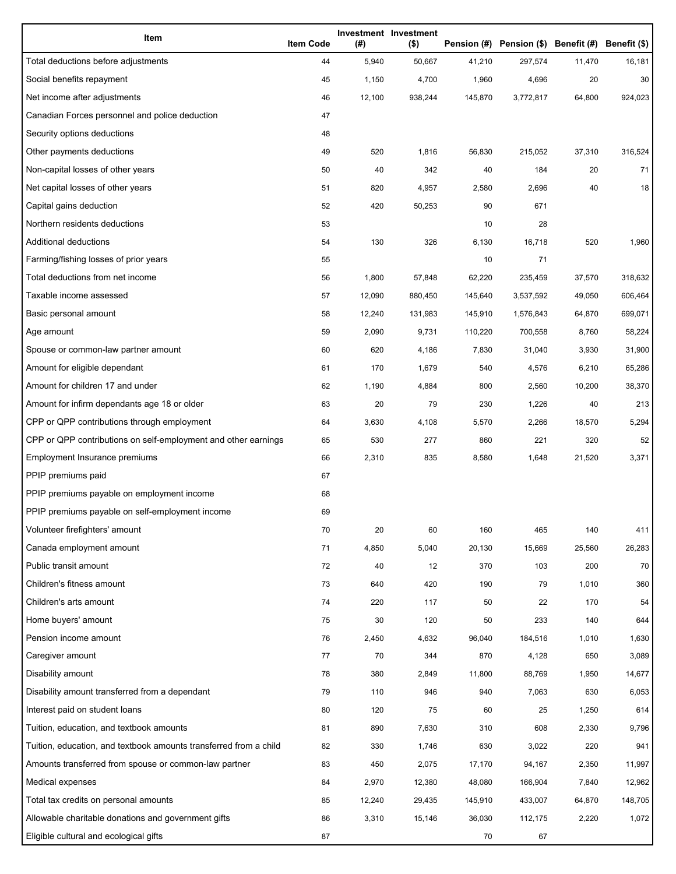| Item                                                              | <b>Item Code</b> | (#)    | Investment Investment<br>$($ \$) |         | Pension (#) Pension (\$) Benefit (#) Benefit (\$) |        |         |
|-------------------------------------------------------------------|------------------|--------|----------------------------------|---------|---------------------------------------------------|--------|---------|
| Total deductions before adjustments                               | 44               | 5,940  | 50,667                           | 41,210  | 297,574                                           | 11,470 | 16,181  |
| Social benefits repayment                                         | 45               | 1,150  | 4,700                            | 1,960   | 4,696                                             | 20     | 30      |
| Net income after adjustments                                      | 46               | 12,100 | 938,244                          | 145,870 | 3,772,817                                         | 64,800 | 924,023 |
| Canadian Forces personnel and police deduction                    | 47               |        |                                  |         |                                                   |        |         |
| Security options deductions                                       | 48               |        |                                  |         |                                                   |        |         |
| Other payments deductions                                         | 49               | 520    | 1,816                            | 56,830  | 215,052                                           | 37,310 | 316,524 |
| Non-capital losses of other years                                 | 50               | 40     | 342                              | 40      | 184                                               | 20     | 71      |
| Net capital losses of other years                                 | 51               | 820    | 4,957                            | 2,580   | 2,696                                             | 40     | 18      |
| Capital gains deduction                                           | 52               | 420    | 50,253                           | 90      | 671                                               |        |         |
| Northern residents deductions                                     | 53               |        |                                  | 10      | 28                                                |        |         |
| Additional deductions                                             | 54               | 130    | 326                              | 6,130   | 16,718                                            | 520    | 1,960   |
| Farming/fishing losses of prior years                             | 55               |        |                                  | 10      | 71                                                |        |         |
| Total deductions from net income                                  | 56               | 1,800  | 57,848                           | 62,220  | 235,459                                           | 37,570 | 318,632 |
| Taxable income assessed                                           | 57               | 12,090 | 880,450                          | 145,640 | 3,537,592                                         | 49,050 | 606,464 |
| Basic personal amount                                             | 58               | 12,240 | 131,983                          | 145,910 | 1,576,843                                         | 64,870 | 699,071 |
| Age amount                                                        | 59               | 2,090  | 9,731                            | 110,220 | 700,558                                           | 8,760  | 58,224  |
| Spouse or common-law partner amount                               | 60               | 620    | 4,186                            | 7,830   | 31,040                                            | 3,930  | 31,900  |
| Amount for eligible dependant                                     | 61               | 170    | 1,679                            | 540     | 4,576                                             | 6,210  | 65,286  |
| Amount for children 17 and under                                  | 62               | 1,190  | 4,884                            | 800     | 2,560                                             | 10,200 | 38,370  |
| Amount for infirm dependants age 18 or older                      | 63               | 20     | 79                               | 230     | 1,226                                             | 40     | 213     |
| CPP or QPP contributions through employment                       | 64               | 3,630  | 4,108                            | 5,570   | 2,266                                             | 18,570 | 5,294   |
| CPP or QPP contributions on self-employment and other earnings    | 65               | 530    | 277                              | 860     | 221                                               | 320    | 52      |
| Employment Insurance premiums                                     | 66               | 2,310  | 835                              | 8,580   | 1,648                                             | 21,520 | 3,371   |
| PPIP premiums paid                                                | 67               |        |                                  |         |                                                   |        |         |
| PPIP premiums payable on employment income                        | 68               |        |                                  |         |                                                   |        |         |
| PPIP premiums payable on self-employment income                   | 69               |        |                                  |         |                                                   |        |         |
| Volunteer firefighters' amount                                    | 70               | 20     | 60                               | 160     | 465                                               | 140    | 411     |
| Canada employment amount                                          | 71               | 4,850  | 5,040                            | 20,130  | 15,669                                            | 25,560 | 26,283  |
| Public transit amount                                             | 72               | 40     | 12                               | 370     | 103                                               | 200    | 70      |
| Children's fitness amount                                         | 73               | 640    | 420                              | 190     | 79                                                | 1,010  | 360     |
| Children's arts amount                                            | 74               | 220    | 117                              | 50      | 22                                                | 170    | 54      |
| Home buyers' amount                                               | 75               | 30     | 120                              | 50      | 233                                               | 140    | 644     |
| Pension income amount                                             | 76               | 2,450  | 4,632                            | 96,040  | 184,516                                           | 1,010  | 1,630   |
| Caregiver amount                                                  | 77               | 70     | 344                              | 870     | 4,128                                             | 650    | 3,089   |
| Disability amount                                                 | 78               | 380    | 2,849                            | 11,800  | 88,769                                            | 1,950  | 14,677  |
| Disability amount transferred from a dependant                    | 79               | 110    | 946                              | 940     | 7,063                                             | 630    | 6,053   |
| Interest paid on student loans                                    | 80               | 120    | 75                               | 60      | 25                                                | 1,250  | 614     |
| Tuition, education, and textbook amounts                          | 81               | 890    | 7,630                            | 310     | 608                                               | 2,330  | 9,796   |
| Tuition, education, and textbook amounts transferred from a child | 82               | 330    | 1,746                            | 630     | 3,022                                             | 220    | 941     |
| Amounts transferred from spouse or common-law partner             | 83               | 450    | 2,075                            | 17,170  | 94,167                                            | 2,350  | 11,997  |
| Medical expenses                                                  | 84               | 2,970  | 12,380                           | 48,080  | 166,904                                           | 7,840  | 12,962  |
| Total tax credits on personal amounts                             | 85               | 12,240 | 29,435                           | 145,910 | 433,007                                           | 64,870 | 148,705 |
| Allowable charitable donations and government gifts               | 86               | 3,310  | 15,146                           | 36,030  | 112,175                                           | 2,220  | 1,072   |
| Eligible cultural and ecological gifts                            | 87               |        |                                  | 70      | 67                                                |        |         |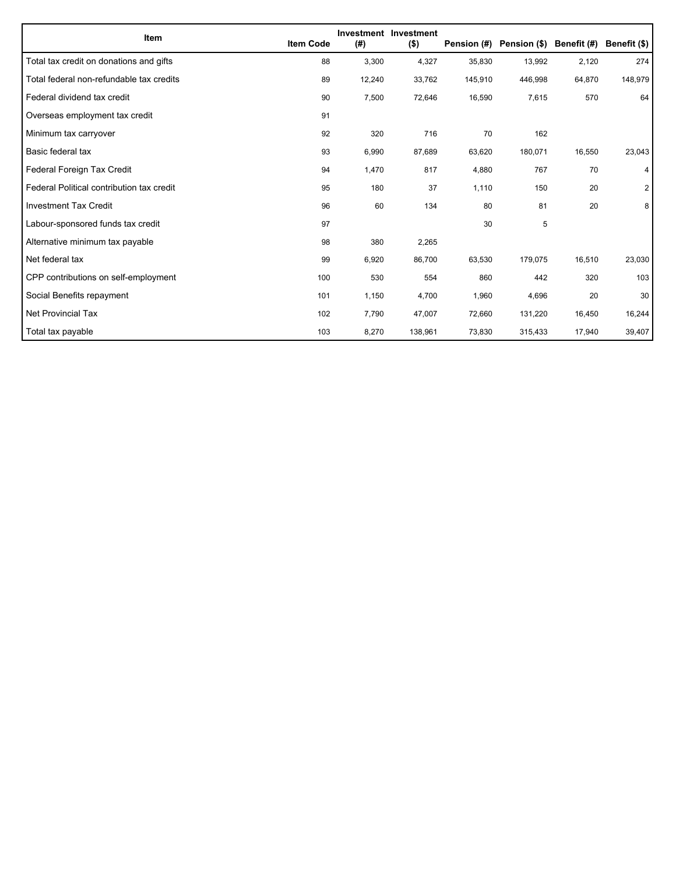| Item                                      | <b>Item Code</b> | (#)    | Investment Investment<br>$($ \$) | Pension (#) | Pension (\$) Benefit (#) |        | Benefit (\$)   |
|-------------------------------------------|------------------|--------|----------------------------------|-------------|--------------------------|--------|----------------|
| Total tax credit on donations and gifts   | 88               | 3,300  | 4,327                            | 35,830      | 13,992                   | 2,120  | 274            |
| Total federal non-refundable tax credits  | 89               | 12,240 | 33,762                           | 145,910     | 446,998                  | 64,870 | 148,979        |
| Federal dividend tax credit               | 90               | 7,500  | 72,646                           | 16,590      | 7,615                    | 570    | 64             |
| Overseas employment tax credit            | 91               |        |                                  |             |                          |        |                |
| Minimum tax carryover                     | 92               | 320    | 716                              | 70          | 162                      |        |                |
| Basic federal tax                         | 93               | 6,990  | 87,689                           | 63,620      | 180,071                  | 16,550 | 23,043         |
| Federal Foreign Tax Credit                | 94               | 1,470  | 817                              | 4,880       | 767                      | 70     | 4              |
| Federal Political contribution tax credit | 95               | 180    | 37                               | 1,110       | 150                      | 20     | $\overline{2}$ |
| <b>Investment Tax Credit</b>              | 96               | 60     | 134                              | 80          | 81                       | 20     | 8              |
| Labour-sponsored funds tax credit         | 97               |        |                                  | 30          | 5                        |        |                |
| Alternative minimum tax payable           | 98               | 380    | 2,265                            |             |                          |        |                |
| Net federal tax                           | 99               | 6,920  | 86,700                           | 63,530      | 179,075                  | 16,510 | 23,030         |
| CPP contributions on self-employment      | 100              | 530    | 554                              | 860         | 442                      | 320    | 103            |
| Social Benefits repayment                 | 101              | 1,150  | 4,700                            | 1,960       | 4,696                    | 20     | 30             |
| Net Provincial Tax                        | 102              | 7,790  | 47,007                           | 72,660      | 131,220                  | 16,450 | 16,244         |
| Total tax payable                         | 103              | 8,270  | 138,961                          | 73,830      | 315,433                  | 17,940 | 39,407         |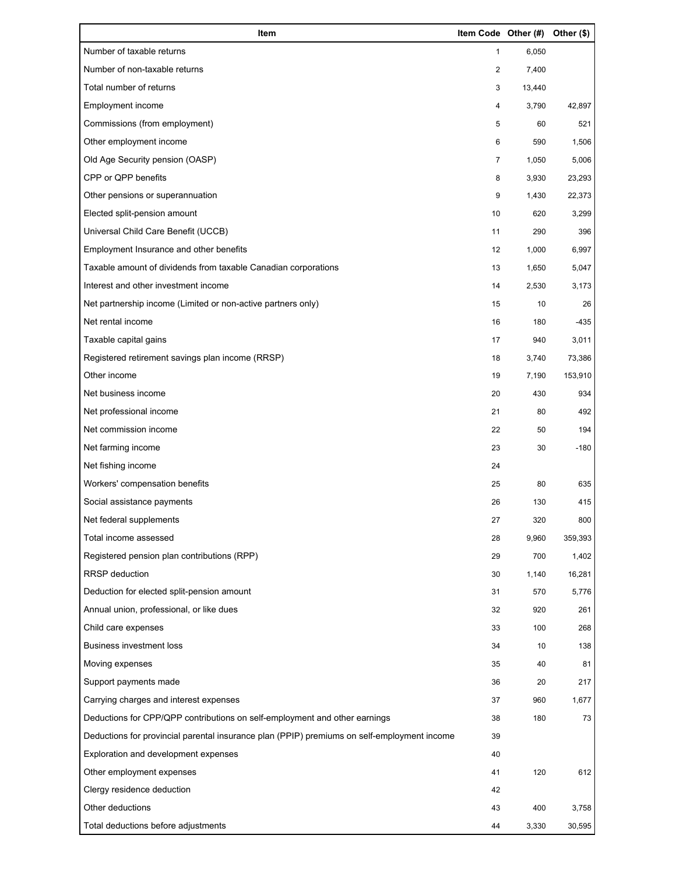| Item                                                                                        | Item Code Other (#) |        | Other (\$) |
|---------------------------------------------------------------------------------------------|---------------------|--------|------------|
| Number of taxable returns                                                                   | $\mathbf{1}$        | 6,050  |            |
| Number of non-taxable returns                                                               | 2                   | 7,400  |            |
| Total number of returns                                                                     | 3                   | 13,440 |            |
| Employment income                                                                           | 4                   | 3,790  | 42,897     |
| Commissions (from employment)                                                               | 5                   | 60     | 521        |
| Other employment income                                                                     | 6                   | 590    | 1,506      |
| Old Age Security pension (OASP)                                                             | $\overline{7}$      | 1,050  | 5,006      |
| CPP or QPP benefits                                                                         | 8                   | 3,930  | 23,293     |
| Other pensions or superannuation                                                            | 9                   | 1,430  | 22,373     |
| Elected split-pension amount                                                                | 10                  | 620    | 3,299      |
| Universal Child Care Benefit (UCCB)                                                         | 11                  | 290    | 396        |
| Employment Insurance and other benefits                                                     | 12                  | 1,000  | 6,997      |
| Taxable amount of dividends from taxable Canadian corporations                              | 13                  | 1,650  | 5,047      |
| Interest and other investment income                                                        | 14                  | 2,530  | 3,173      |
| Net partnership income (Limited or non-active partners only)                                | 15                  | 10     | 26         |
| Net rental income                                                                           | 16                  | 180    | $-435$     |
| Taxable capital gains                                                                       | 17                  | 940    | 3,011      |
| Registered retirement savings plan income (RRSP)                                            | 18                  | 3,740  | 73,386     |
| Other income                                                                                | 19                  | 7,190  | 153,910    |
| Net business income                                                                         | 20                  | 430    | 934        |
| Net professional income                                                                     | 21                  | 80     | 492        |
| Net commission income                                                                       | 22                  | 50     | 194        |
| Net farming income                                                                          | 23                  | 30     | $-180$     |
| Net fishing income                                                                          | 24                  |        |            |
| Workers' compensation benefits                                                              | 25                  | 80     | 635        |
| Social assistance payments                                                                  | 26                  | 130    | 415        |
| Net federal supplements                                                                     | 27                  | 320    | 800        |
| Total income assessed                                                                       | 28                  | 9,960  | 359,393    |
| Registered pension plan contributions (RPP)                                                 | 29                  | 700    | 1,402      |
| RRSP deduction                                                                              | 30                  | 1,140  | 16,281     |
| Deduction for elected split-pension amount                                                  | 31                  | 570    | 5,776      |
| Annual union, professional, or like dues                                                    | 32                  | 920    | 261        |
| Child care expenses                                                                         | 33                  | 100    | 268        |
| <b>Business investment loss</b>                                                             | 34                  | 10     | 138        |
| Moving expenses                                                                             | 35                  | 40     | 81         |
| Support payments made                                                                       | 36                  | 20     | 217        |
| Carrying charges and interest expenses                                                      | 37                  | 960    | 1,677      |
| Deductions for CPP/QPP contributions on self-employment and other earnings                  | 38                  | 180    | 73         |
| Deductions for provincial parental insurance plan (PPIP) premiums on self-employment income | 39                  |        |            |
| Exploration and development expenses                                                        | 40                  |        |            |
| Other employment expenses                                                                   | 41                  | 120    | 612        |
| Clergy residence deduction                                                                  | 42                  |        |            |
| Other deductions                                                                            | 43                  | 400    | 3,758      |
| Total deductions before adjustments                                                         | 44                  | 3,330  | 30,595     |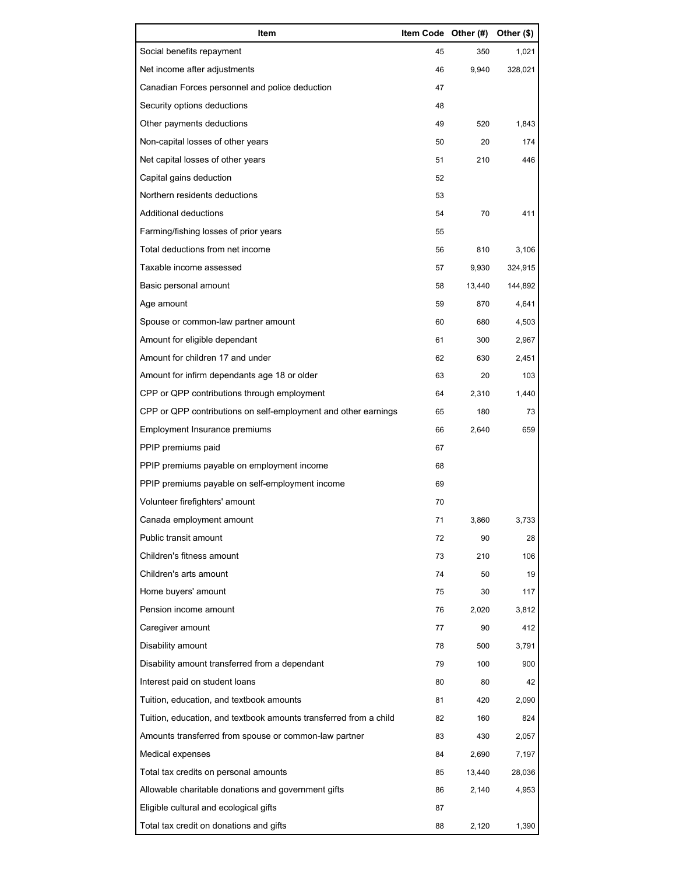| Item                                                              | Item Code Other (#) |        | Other (\$) |
|-------------------------------------------------------------------|---------------------|--------|------------|
| Social benefits repayment                                         | 45                  | 350    | 1,021      |
| Net income after adjustments                                      | 46                  | 9,940  | 328,021    |
| Canadian Forces personnel and police deduction                    | 47                  |        |            |
| Security options deductions                                       | 48                  |        |            |
| Other payments deductions                                         | 49                  | 520    | 1,843      |
| Non-capital losses of other years                                 | 50                  | 20     | 174        |
| Net capital losses of other years                                 | 51                  | 210    | 446        |
| Capital gains deduction                                           | 52                  |        |            |
| Northern residents deductions                                     | 53                  |        |            |
| Additional deductions                                             | 54                  | 70     | 411        |
| Farming/fishing losses of prior years                             | 55                  |        |            |
| Total deductions from net income                                  | 56                  | 810    | 3,106      |
| Taxable income assessed                                           | 57                  | 9,930  | 324,915    |
| Basic personal amount                                             | 58                  | 13,440 | 144,892    |
| Age amount                                                        | 59                  | 870    | 4,641      |
| Spouse or common-law partner amount                               | 60                  | 680    | 4,503      |
| Amount for eligible dependant                                     | 61                  | 300    | 2,967      |
| Amount for children 17 and under                                  | 62                  | 630    | 2,451      |
| Amount for infirm dependants age 18 or older                      | 63                  | 20     | 103        |
| CPP or QPP contributions through employment                       | 64                  | 2,310  | 1,440      |
| CPP or QPP contributions on self-employment and other earnings    | 65                  | 180    | 73         |
| Employment Insurance premiums                                     | 66                  | 2,640  | 659        |
| PPIP premiums paid                                                | 67                  |        |            |
| PPIP premiums payable on employment income                        | 68                  |        |            |
| PPIP premiums payable on self-employment income                   | 69                  |        |            |
| Volunteer firefighters' amount                                    | 70                  |        |            |
| Canada employment amount                                          | 71                  | 3,860  | 3,733      |
| Public transit amount                                             | 72                  | 90     | 28         |
| Children's fitness amount                                         | 73                  | 210    | 106        |
| Children's arts amount                                            | 74                  | 50     | 19         |
| Home buyers' amount                                               | 75                  | 30     | 117        |
| Pension income amount                                             | 76                  | 2,020  | 3,812      |
| Caregiver amount                                                  | 77                  | 90     | 412        |
| Disability amount                                                 | 78                  | 500    | 3,791      |
| Disability amount transferred from a dependant                    | 79                  | 100    | 900        |
| Interest paid on student loans                                    | 80                  | 80     | 42         |
| Tuition, education, and textbook amounts                          | 81                  | 420    | 2,090      |
| Tuition, education, and textbook amounts transferred from a child | 82                  | 160    | 824        |
| Amounts transferred from spouse or common-law partner             | 83                  | 430    | 2,057      |
| Medical expenses                                                  | 84                  | 2,690  | 7,197      |
| Total tax credits on personal amounts                             | 85                  | 13,440 | 28,036     |
| Allowable charitable donations and government gifts               | 86                  | 2,140  | 4,953      |
| Eligible cultural and ecological gifts                            | 87                  |        |            |
| Total tax credit on donations and gifts                           | 88                  | 2,120  | 1,390      |